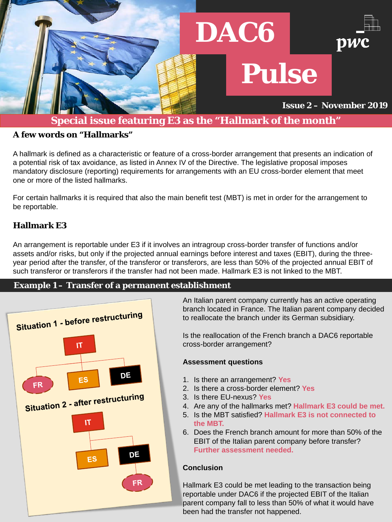#### **Example 1 – Transfer of a permanent establishment**



#### **A few words on "Hallmarks"**

A hallmark is defined as a characteristic or feature of a cross-border arrangement that presents an indication of a potential risk of tax avoidance, as listed in Annex IV of the Directive. The legislative proposal imposes mandatory disclosure (reporting) requirements for arrangements with an EU cross-border element that meet one or more of the listed hallmarks.

For certain hallmarks it is required that also the main benefit test (MBT) is met in order for the arrangement to be reportable.

### **Hallmark E3**

An arrangement is reportable under E3 if it involves an intragroup cross-border transfer of functions and/or assets and/or risks, but only if the projected annual earnings before interest and taxes (EBIT), during the threeyear period after the transfer, of the transferor or transferors, are less than 50% of the projected annual EBIT of such transferor or transferors if the transfer had not been made. Hallmark E3 is not linked to the MBT.



## **Special issue featuring E3 as the "Hallmark of the month"**

An Italian parent company currently has an active operating branch located in France. The Italian parent company decided to reallocate the branch under its German subsidiary.

Is the reallocation of the French branch a DAC6 reportable cross-border arrangement?

#### **Assessment questions**

- 1. Is there an arrangement? **Yes**
- 2. Is there a cross-border element? **Yes**
- 3. Is there EU-nexus? **Yes**
- 4. Are any of the hallmarks met? **Hallmark E3 could be met.**
- 5. Is the MBT satisfied? **Hallmark E3 is not connected to the MBT.**
- 6. Does the French branch amount for more than 50% of the EBIT of the Italian parent company before transfer? **Further assessment needed.**

#### **Conclusion**

Hallmark E3 could be met leading to the transaction being reportable under DAC6 if the projected EBIT of the Italian parent company fall to less than 50% of what it would have been had the transfer not happened.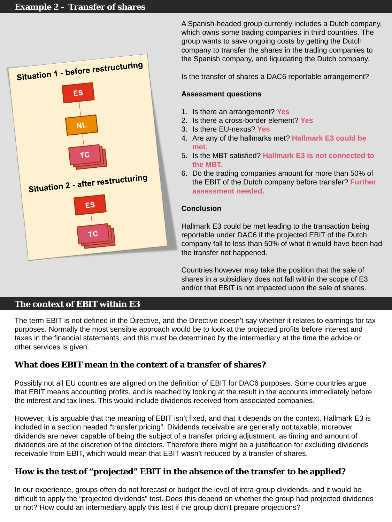

A Spanish-headed group currently includes a Dutch company, which owns some trading companies in third countries. The group wants to save ongoing costs by getting the Dutch company to transfer the shares in the trading companies to the Spanish company, and liquidating the Dutch company.

Is the transfer of shares a DAC6 reportable arrangement?

#### **Assessment questions**

- 1. Is there an arrangement? **Yes**
- 2. Is there a cross-border element? **Yes**
- 3. Is there EU-nexus? **Yes**
- 4. Are any of the hallmarks met? **Hallmark E3 could be met.**
- 5. Is the MBT satisfied? **Hallmark E3 is not connected to the MBT.**
- 6. Do the trading companies amount for more than 50% of the EBIT of the Dutch company before transfer? **Further assessment needed.**

#### **Conclusion**

Hallmark E3 could be met leading to the transaction being reportable under DAC6 if the projected EBIT of the Dutch company fall to less than 50% of what it would have been had the transfer not happened.

Countries however may take the position that the sale of shares in a subsidiary does not fall within the scope of E3 and/or that EBIT is not impacted upon the sale of shares.

#### **The context of EBIT within E3**

The term EBIT is not defined in the Directive, and the Directive doesn't say whether it relates to earnings for tax purposes. Normally the most sensible approach would be to look at the projected profits before interest and taxes in the financial statements, and this must be determined by the intermediary at the time the advice or other services is given.

#### **What does EBIT mean in the context of a transfer of shares?**

Possibly not all EU countries are aligned on the definition of EBIT for DAC6 purposes. Some countries argue that EBIT means accounting profits, and is reached by looking at the result in the accounts immediately before the interest and tax lines. This would include dividends received from associated companies.

However, it is arguable that the meaning of EBIT isn't fixed, and that it depends on the context. Hallmark E3 is included in a section headed "transfer pricing". Dividends receivable are generally not taxable; moreover dividends are never capable of being the subject of a transfer pricing adjustment, as timing and amount of dividends are at the discretion of the directors. Therefore there might be a justification for excluding dividends receivable from EBIT, which would mean that EBIT wasn't reduced by a transfer of shares.

#### **How is the test of "projected" EBIT in the absence of the transfer to be applied?**

In our experience, groups often do not forecast or budget the level of intra-group dividends, and it would be difficult to apply the "projected dividends" test. Does this depend on whether the group had projected dividends or not? How could an intermediary apply this test if the group didn't prepare projections?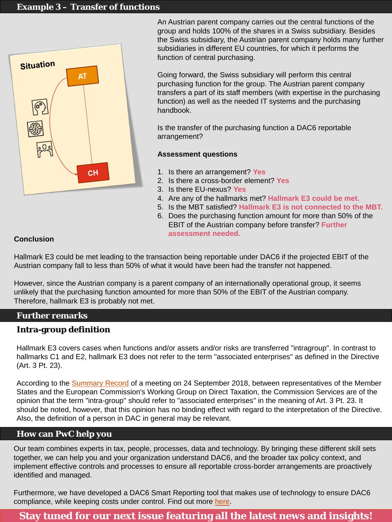#### **Example 3 – Transfer of functions**



An Austrian parent company carries out the central functions of the group and holds 100% of the shares in a Swiss subsidiary. Besides the Swiss subsidiary, the Austrian parent company holds many further subsidiaries in different EU countries, for which it performs the function of central purchasing.

Going forward, the Swiss subsidiary will perform this central purchasing function for the group. The Austrian parent company transfers a part of its staff members (with expertise in the purchasing function) as well as the needed IT systems and the purchasing handbook.

Is the transfer of the purchasing function a DAC6 reportable arrangement?

#### **Assessment questions**

- 1. Is there an arrangement? **Yes**
- 2. Is there a cross-border element? **Yes**
- 3. Is there EU-nexus? **Yes**
- 4. Are any of the hallmarks met? **Hallmark E3 could be met.**
- 5. Is the MBT satisfied? **Hallmark E3 is not connected to the MBT.**
- 6. Does the purchasing function amount for more than 50% of the EBIT of the Austrian company before transfer? **Further assessment needed.**

#### **Further remarks**

### **Intra-group definition**

Hallmark E3 covers cases when functions and/or assets and/or risks are transferred "intragroup". In contrast to hallmarks C1 and E2, hallmark E3 does not refer to the term "associated enterprises" as defined in the Directive (Art. 3 Pt. 23).

Furthermore, we have developed a DAC6 Smart Reporting tool that makes use of technology to ensure DAC6 compliance, while keeping costs under control. Find out more [here.](https://store.pwc.ch/de/service/smartsurvey-for-dac6)

According to the [Summary Record](https://ec.europa.eu/transparency/regexpert/index.cfm?do=groupDetail.groupMeetingDoc&docid=19686) of a meeting on 24 September 2018, between representatives of the Member States and the European Commission's Working Group on Direct Taxation, the Commission Services are of the opinion that the term "intra-group" should refer to "associated enterprises" in the meaning of Art. 3 Pt. 23. It should be noted, however, that this opinion has no binding effect with regard to the interpretation of the Directive. Also, the definition of a person in DAC in general may be relevant.

#### **Conclusion**

Hallmark E3 could be met leading to the transaction being reportable under DAC6 if the projected EBIT of the Austrian company fall to less than 50% of what it would have been had the transfer not happened.

However, since the Austrian company is a parent company of an internationally operational group, it seems unlikely that the purchasing function amounted for more than 50% of the EBIT of the Austrian company. Therefore, hallmark E3 is probably not met.

# **Stay tuned for our next issue featuring all the latest news and insights!**

Our team combines experts in tax, people, processes, data and technology. By bringing these different skill sets together, we can help you and your organization understand DAC6, and the broader tax policy context, and implement effective controls and processes to ensure all reportable cross-border arrangements are proactively identified and managed.

### **How can PwC help you**